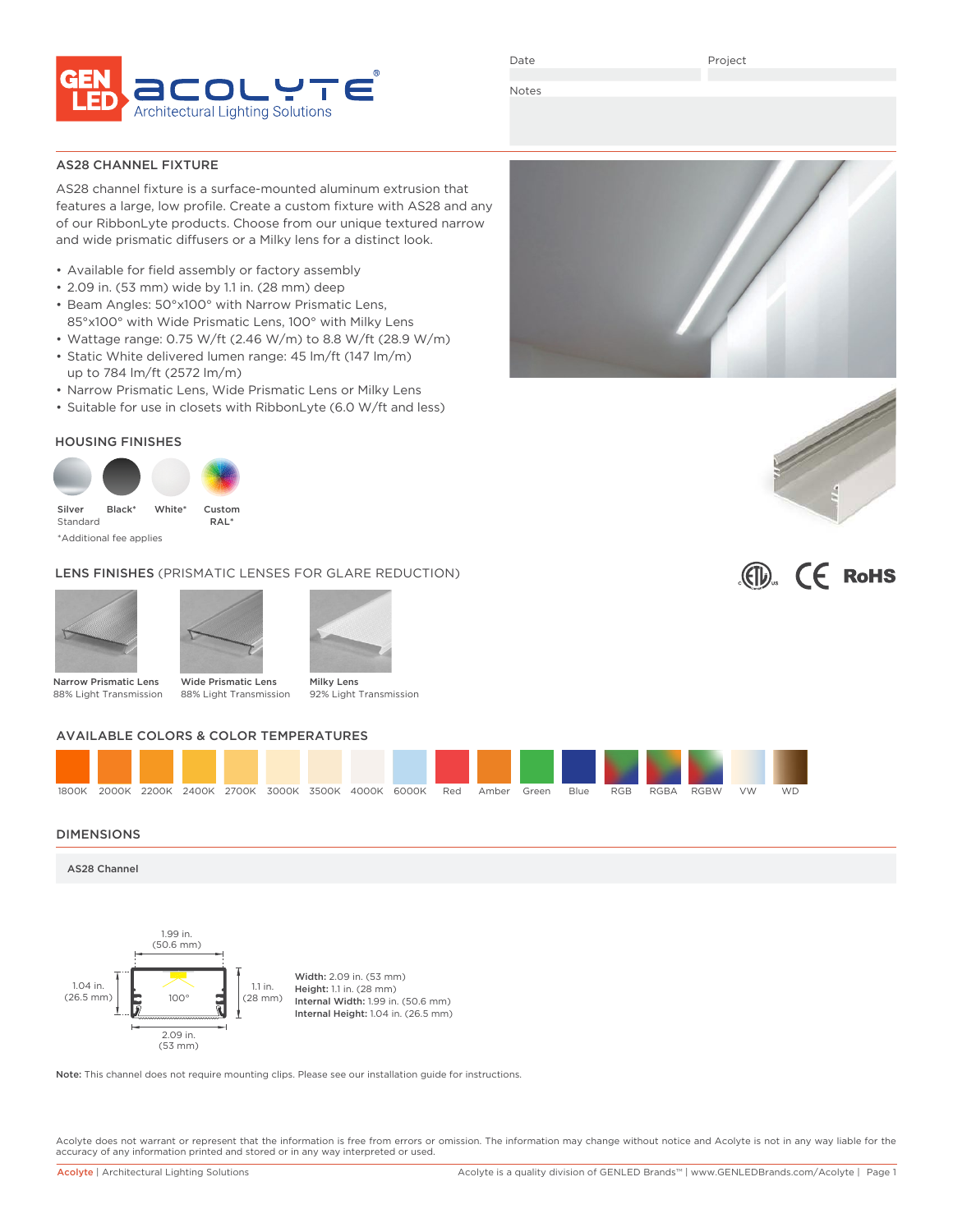

Date

Project

Notes

## AS28 CHANNEL FIXTURE

AS28 channel fixture is a surface-mounted aluminum extrusion that features a large, low profile. Create a custom fixture with AS28 and any of our RibbonLyte products. Choose from our unique textured narrow and wide prismatic diffusers or a Milky lens for a distinct look.

- Available for field assembly or factory assembly
- 2.09 in. (53 mm) wide by 1.1 in. (28 mm) deep
- Beam Angles: 50°x100° with Narrow Prismatic Lens, 85°x100° with Wide Prismatic Lens, 100° with Milky Lens
- Wattage range: 0.75 W/ft (2.46 W/m) to 8.8 W/ft (28.9 W/m)
- Static White delivered lumen range: 45 lm/ft (147 lm/m) up to 784 lm/ft (2572 lm/m)

RAL\*

- Narrow Prismatic Lens, Wide Prismatic Lens or Milky Lens
- Suitable for use in closets with RibbonLyte (6.0 W/ft and less)

## HOUSING FINISHES



Silver Standard **Black** 

\*Additional fee applies

# LENS FINISHES (PRISMATIC LENSES FOR GLARE REDUCTION)







Narrow Prismatic Lens 88% Light Transmission

Wide Prismatic Lens 88% Light Transmission 92% Light Transmission

# AVAILABLE COLORS & COLOR TEMPERATURES



## DIMENSIONS

AS28 Channel



Note: This channel does not require mounting clips. Please see our installation guide for instructions.

Acolyte does not warrant or represent that the information is free from errors or omission. The information may change without notice and Acolyte is not in any way liable for the accuracy of any information printed and stored or in any way interpreted or used.





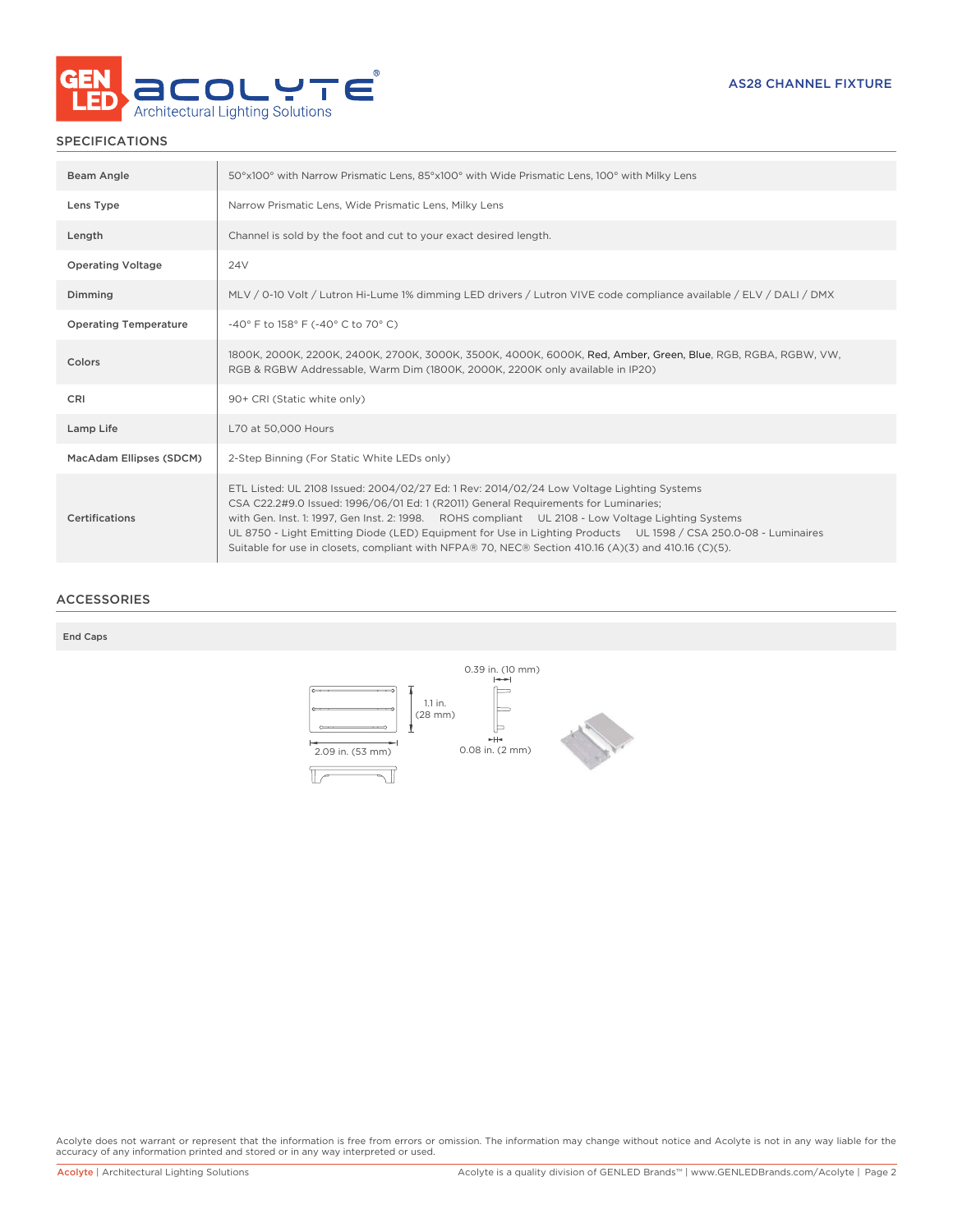

# SPECIFICATIONS

| Beam Angle                   | 50°x100° with Narrow Prismatic Lens, 85°x100° with Wide Prismatic Lens, 100° with Milky Lens                                                                                                                                                                                                                                                                                                                                                                                                                    |
|------------------------------|-----------------------------------------------------------------------------------------------------------------------------------------------------------------------------------------------------------------------------------------------------------------------------------------------------------------------------------------------------------------------------------------------------------------------------------------------------------------------------------------------------------------|
| Lens Type                    | Narrow Prismatic Lens, Wide Prismatic Lens, Milky Lens                                                                                                                                                                                                                                                                                                                                                                                                                                                          |
| Length                       | Channel is sold by the foot and cut to your exact desired length.                                                                                                                                                                                                                                                                                                                                                                                                                                               |
| <b>Operating Voltage</b>     | 24 <sub>V</sub>                                                                                                                                                                                                                                                                                                                                                                                                                                                                                                 |
| Dimming                      | MLV / 0-10 Volt / Lutron Hi-Lume 1% dimming LED drivers / Lutron VIVE code compliance available / ELV / DALI / DMX                                                                                                                                                                                                                                                                                                                                                                                              |
| <b>Operating Temperature</b> | -40° F to 158° F (-40° C to 70° C)                                                                                                                                                                                                                                                                                                                                                                                                                                                                              |
| Colors                       | 1800K, 2000K, 2200K, 2400K, 2700K, 3000K, 3500K, 4000K, 6000K, Red, Amber, Green, Blue, RGB, RGBA, RGBW, VW,<br>RGB & RGBW Addressable, Warm Dim (1800K, 2000K, 2200K only available in IP20)                                                                                                                                                                                                                                                                                                                   |
| <b>CRI</b>                   | 90+ CRI (Static white only)                                                                                                                                                                                                                                                                                                                                                                                                                                                                                     |
| Lamp Life                    | L70 at 50,000 Hours                                                                                                                                                                                                                                                                                                                                                                                                                                                                                             |
| MacAdam Ellipses (SDCM)      | 2-Step Binning (For Static White LEDs only)                                                                                                                                                                                                                                                                                                                                                                                                                                                                     |
| Certifications               | ETL Listed: UL 2108 Issued: 2004/02/27 Ed: 1 Rev: 2014/02/24 Low Voltage Lighting Systems<br>CSA C22.2#9.0 Issued: 1996/06/01 Ed: 1 (R2011) General Requirements for Luminaries;<br>with Gen. Inst. 1: 1997, Gen Inst. 2: 1998. ROHS compliant UL 2108 - Low Voltage Lighting Systems<br>UL 8750 - Light Emitting Diode (LED) Equipment for Use in Lighting Products UL 1598 / CSA 250.0-08 - Luminaires<br>Suitable for use in closets, compliant with NFPA® 70, NEC® Section 410.16 (A)(3) and 410.16 (C)(5). |

## ACCESSORIES

### End Caps



Acolyte does not warrant or represent that the information is free from errors or omission. The information may change without notice and Acolyte is not in any way liable for the<br>accuracy of any information printed and sto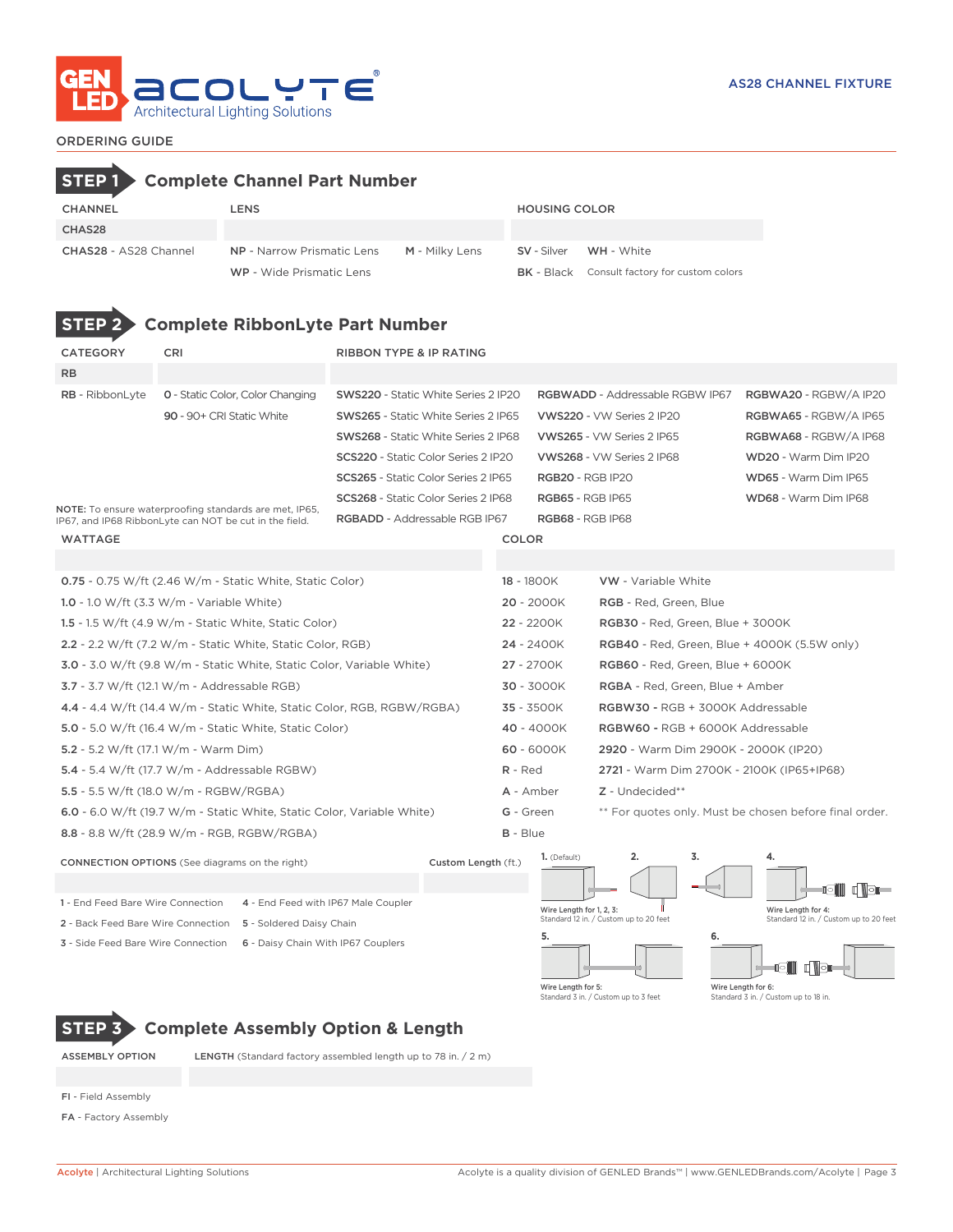

# ORDERING GUIDE

|                                                        |            | <b>Complete Channel Part Number</b>                                          |                                            |                                            |                 |                          |                                                     |                                                        |  |  |  |
|--------------------------------------------------------|------------|------------------------------------------------------------------------------|--------------------------------------------|--------------------------------------------|-----------------|--------------------------|-----------------------------------------------------|--------------------------------------------------------|--|--|--|
| CHANNEL                                                |            | <b>LENS</b>                                                                  |                                            |                                            |                 | <b>HOUSING COLOR</b>     |                                                     |                                                        |  |  |  |
| CHAS28                                                 |            |                                                                              |                                            |                                            |                 |                          |                                                     |                                                        |  |  |  |
| CHAS28 - AS28 Channel                                  |            | <b>NP</b> - Narrow Prismatic Lens                                            |                                            | M - Milky Lens                             |                 | <b>SV</b> - Silver       | <b>WH</b> - White                                   |                                                        |  |  |  |
|                                                        |            | WP - Wide Prismatic Lens                                                     |                                            |                                            |                 | <b>BK</b> - Black        | Consult factory for custom colors                   |                                                        |  |  |  |
| <b>STEP</b>                                            |            | <b>Complete RibbonLyte Part Number</b>                                       |                                            |                                            |                 |                          |                                                     |                                                        |  |  |  |
| <b>CATEGORY</b>                                        | <b>CRI</b> |                                                                              |                                            | <b>RIBBON TYPE &amp; IP RATING</b>         |                 |                          |                                                     |                                                        |  |  |  |
| RB                                                     |            |                                                                              |                                            |                                            |                 |                          |                                                     |                                                        |  |  |  |
| <b>RB</b> - RibbonLyte                                 |            | <b>0</b> - Static Color, Color Changing                                      |                                            | <b>SWS220</b> - Static White Series 2 IP20 |                 |                          | <b>RGBWADD</b> - Addressable RGBW IP67              | RGBWA20 - RGBW/A IP20                                  |  |  |  |
|                                                        |            | 90 - 90+ CRI Static White                                                    |                                            | <b>SWS265</b> - Static White Series 2 IP65 |                 |                          | VWS220 - VW Series 2 IP20                           | RGBWA65 - RGBW/A IP65                                  |  |  |  |
|                                                        |            |                                                                              |                                            | <b>SWS268</b> - Static White Series 2 IP68 |                 |                          | VWS265 - VW Series 2 IP65                           | RGBWA68 - RGBW/A IP68                                  |  |  |  |
|                                                        |            |                                                                              |                                            | <b>SCS220 - Static Color Series 2 IP20</b> |                 |                          | VWS268 - VW Series 2 IP68                           | WD20 - Warm Dim IP20                                   |  |  |  |
|                                                        |            |                                                                              | <b>SCS265 - Static Color Series 2 IP65</b> |                                            |                 |                          | <b>RGB20 - RGB IP20</b>                             | WD65 - Warm Dim IP65                                   |  |  |  |
|                                                        |            | NOTE: To ensure waterproofing standards are met, IP65,                       | SCS268 - Static Color Series 2 IP68        |                                            |                 |                          | <b>RGB65 - RGB IP65</b>                             | WD68 - Warm Dim IP68                                   |  |  |  |
| IP67, and IP68 RibbonLyte can NOT be cut in the field. |            |                                                                              | RGBADD - Addressable RGB IP67              |                                            |                 |                          | <b>RGB68 - RGB IP68</b>                             |                                                        |  |  |  |
| WATTAGE                                                |            |                                                                              |                                            |                                            | <b>COLOR</b>    |                          |                                                     |                                                        |  |  |  |
|                                                        |            |                                                                              |                                            |                                            |                 |                          |                                                     |                                                        |  |  |  |
|                                                        |            | 0.75 - 0.75 W/ft (2.46 W/m - Static White, Static Color)                     |                                            |                                            |                 | 18 - 1800K               | <b>VW</b> - Variable White                          |                                                        |  |  |  |
| 1.0 - 1.0 W/ft $(3.3 W/m - Variable White)$            |            |                                                                              |                                            |                                            |                 | $20 - 2000K$             | RGB - Red, Green, Blue                              |                                                        |  |  |  |
|                                                        |            | 1.5 - 1.5 W/ft (4.9 W/m - Static White, Static Color)                        |                                            |                                            |                 | 22 - 2200K               | RGB30 - Red, Green, Blue + 3000K                    |                                                        |  |  |  |
|                                                        |            | 2.2 - 2.2 W/ft (7.2 W/m - Static White, Static Color, RGB)                   |                                            |                                            |                 | 24 - 2400K               | <b>RGB40</b> - Red, Green, Blue + 4000K (5.5W only) |                                                        |  |  |  |
|                                                        |            | <b>3.0</b> - 3.0 W/ft (9.8 W/m - Static White, Static Color, Variable White) |                                            |                                            |                 | 27 - 2700K               | RGB60 - Red, Green, Blue + 6000K                    |                                                        |  |  |  |
| $3.7 - 3.7$ W/ft (12.1 W/m - Addressable RGB)          |            |                                                                              |                                            |                                            |                 | 30 - 3000K               | RGBA - Red, Green, Blue + Amber                     |                                                        |  |  |  |
|                                                        |            | 4.4 - 4.4 W/ft (14.4 W/m - Static White, Static Color, RGB, RGBW/RGBA)       |                                            |                                            |                 | $35 - 3500K$             | RGBW30 - RGB + 3000K Addressable                    |                                                        |  |  |  |
|                                                        |            | <b>5.0</b> - 5.0 W/ft (16.4 W/m - Static White, Static Color)                |                                            |                                            |                 | 40 - 4000K               | RGBW60 - RGB + 6000K Addressable                    |                                                        |  |  |  |
| 5.2 - 5.2 W/ft (17.1 W/m - Warm Dim)                   |            |                                                                              |                                            |                                            | $R - Red$       | $60 - 6000K$             | 2920 - Warm Dim 2900K - 2000K (IP20)                |                                                        |  |  |  |
|                                                        |            | 5.4 - 5.4 W/ft (17.7 W/m - Addressable RGBW)                                 |                                            |                                            |                 |                          |                                                     | 2721 - Warm Dim 2700K - 2100K (IP65+IP68)              |  |  |  |
| 5.5 - 5.5 W/ft (18.0 W/m - RGBW/RGBA)                  |            |                                                                              |                                            |                                            | A - Amber       |                          | Z - Undecided**                                     |                                                        |  |  |  |
|                                                        |            | 6.0 - 6.0 W/ft (19.7 W/m - Static White, Static Color, Variable White)       |                                            |                                            | G - Green       |                          |                                                     | ** For quotes only. Must be chosen before final order. |  |  |  |
|                                                        |            | 8.8 - 8.8 W/ft (28.9 W/m - RGB, RGBW/RGBA)                                   |                                            |                                            | <b>B</b> - Blue |                          |                                                     |                                                        |  |  |  |
| <b>CONNECTION OPTIONS</b> (See diagrams on the right)  |            |                                                                              |                                            | Custom Length (ft.)                        |                 | 1. (Default)             | 3.                                                  | e noe<br>io III                                        |  |  |  |
| 1 - End Feed Bare Wire Connection                      |            | 4 - End Feed with IP67 Male Coupler                                          |                                            |                                            |                 | Wire Length for 1, 2, 3: |                                                     | Wire Length for 4:                                     |  |  |  |
| 2 - Back Feed Bare Wire Connection                     |            | 5 - Soldered Daisy Chain                                                     |                                            |                                            |                 | 5.                       | Standard 12 in. / Custom up to 20 feet              | Standard 12 in. / Custom up to 20 feet                 |  |  |  |
| 3 - Side Feed Bare Wire Connection                     |            | 6 - Daisy Chain With IP67 Couplers                                           |                                            |                                            |                 |                          | 6.                                                  | gin i s                                                |  |  |  |

**STEP 3 Complete Assembly Option & Length**

ASSEMBLY OPTION LENGTH (Standard factory assembled length up to 78 in. / 2 m)

FI - Field Assembly

FA - Factory Assembly

Wire Length for 6: Standard 3 in. / Custom up to 18 in.

Wire Length for 5: Standard 3 in. / Custom up to 3 feet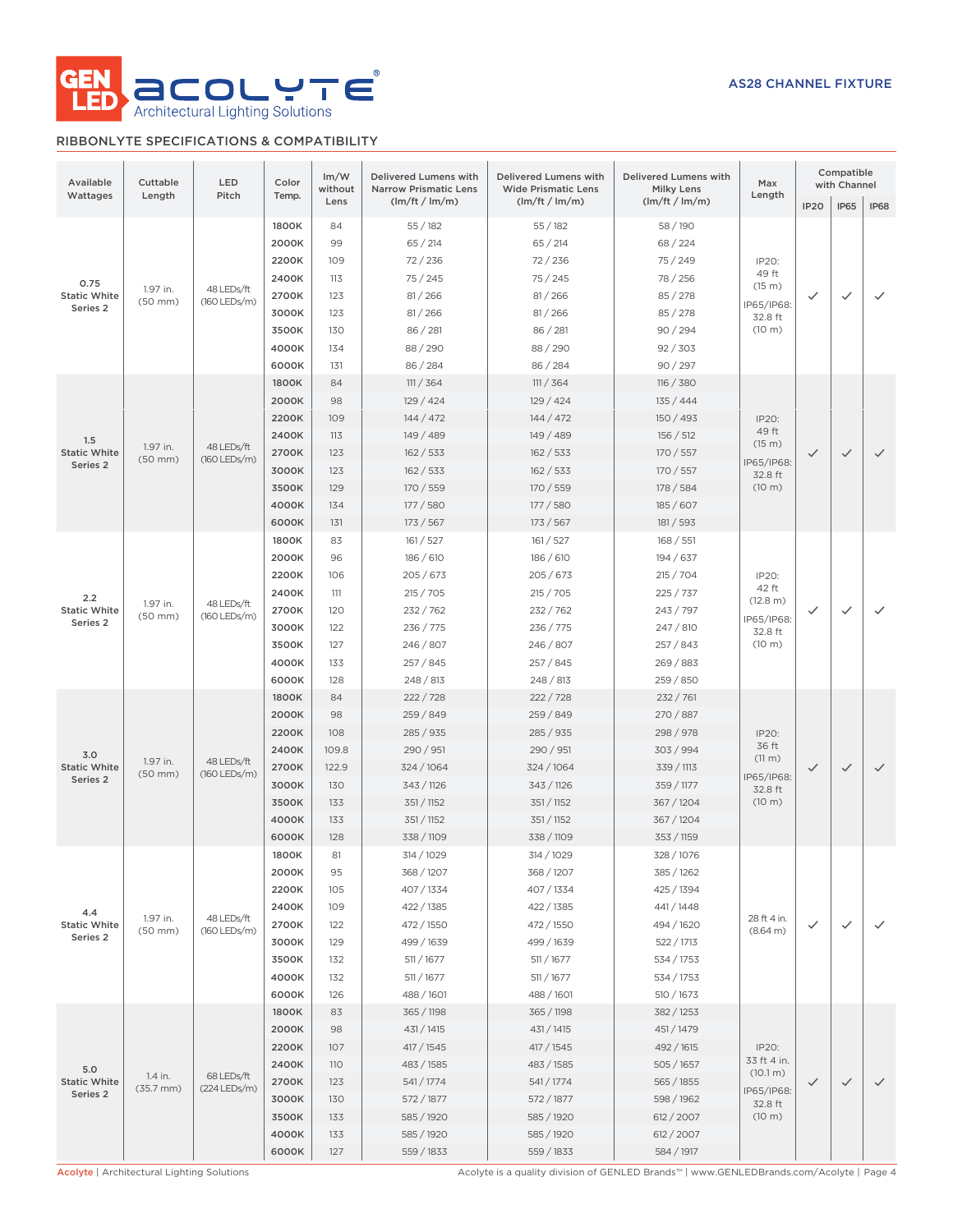

# RIBBONLYTE SPECIFICATIONS & COMPATIBILITY

| Available<br>Wattages                   | Cuttable<br>Length               | LED<br>Pitch                 | Im/W<br>Color<br>without<br>Temp.                                                                                                                                                                                                                                                                                                                                                                                                                                                                                                |                                                               | Delivered Lumens with<br><b>Narrow Prismatic Lens</b>                                                                    | Delivered Lumens with<br><b>Wide Prismatic Lens</b>                                                                      | Delivered Lumens with<br><b>Milky Lens</b>                                                                               | Max<br>Length                                                       |              | Compatible<br>with Channel |              |
|-----------------------------------------|----------------------------------|------------------------------|----------------------------------------------------------------------------------------------------------------------------------------------------------------------------------------------------------------------------------------------------------------------------------------------------------------------------------------------------------------------------------------------------------------------------------------------------------------------------------------------------------------------------------|---------------------------------------------------------------|--------------------------------------------------------------------------------------------------------------------------|--------------------------------------------------------------------------------------------------------------------------|--------------------------------------------------------------------------------------------------------------------------|---------------------------------------------------------------------|--------------|----------------------------|--------------|
|                                         |                                  |                              |                                                                                                                                                                                                                                                                                                                                                                                                                                                                                                                                  | Lens                                                          | (lm/ft / lm/m)                                                                                                           | (lm/ft / lm/m)                                                                                                           | (lm/ft / lm/m)                                                                                                           |                                                                     | <b>IP20</b>  | IP65                       | IP68         |
| 0.75<br><b>Static White</b><br>Series 2 | 1.97 in.<br>$(50$ mm $)$         | 48 LEDs/ft<br>(160 LEDs/m)   | 1800K<br>2000K<br>2200K<br>2400K<br>2700K<br>3000K<br>3500K<br>4000K<br>6000K                                                                                                                                                                                                                                                                                                                                                                                                                                                    | 84<br>99<br>109<br>113<br>123<br>123<br>130<br>134<br>131     | 55/182<br>65/214<br>72/236<br>75/245<br>81/266<br>81 / 266<br>86 / 281<br>88/290<br>86/284                               | 55/182<br>65 / 214<br>72/236<br>75/245<br>81/266<br>81/266<br>86 / 281<br>88/290<br>86 / 284                             | 58/190<br>68 / 224<br>75 / 249<br>78 / 256<br>85 / 278<br>85 / 278<br>90/294<br>92 / 303<br>90 / 297                     | IP20:<br>49 ft<br>(15 m)<br>IP65/IP68:<br>32.8 ft<br>(10 m)         | ✓            | $\checkmark$               | $\checkmark$ |
| 1.5<br><b>Static White</b><br>Series 2  | 1.97 in.<br>$(50$ mm $)$         | 48 LEDs/ft<br>$(160$ LEDs/m) | 1800K<br>2000K<br>2200K<br>2400K<br>2700K<br>3000K<br>3500K<br>4000K<br>6000K                                                                                                                                                                                                                                                                                                                                                                                                                                                    | 84<br>98<br>109<br>113<br>123<br>123<br>129<br>134<br>131     | 111 / 364<br>129 / 424<br>144 / 472<br>149 / 489<br>162 / 533<br>162 / 533<br>170 / 559<br>177 / 580<br>173/567          | 111 / 364<br>129/424<br>144 / 472<br>149 / 489<br>162 / 533<br>162 / 533<br>170 / 559<br>177/580<br>173 / 567            | 116 / 380<br>135/444<br>150 / 493<br>156 / 512<br>170 / 557<br>170 / 557<br>178 / 584<br>185/607<br>181 / 593            | IP20:<br>49 ft<br>(15 m)<br>IP65/IP68:<br>32.8 ft<br>(10 m)         | ✓            | $\checkmark$               | $\checkmark$ |
| 2.2<br><b>Static White</b><br>Series 2  | 1.97 in.<br>$(50$ mm $)$         | 48 LEDs/ft<br>(160 LEDs/m)   | 1800K<br>2000K<br>2200K<br>2400K<br>2700K<br>3000K<br>3500K<br>4000K<br>6000K                                                                                                                                                                                                                                                                                                                                                                                                                                                    | 83<br>96<br>106<br>111<br>120<br>122<br>127<br>133<br>128     | 161 / 527<br>186 / 610<br>205/673<br>215 / 705<br>232 / 762<br>236 / 775<br>246 / 807<br>257/845<br>248 / 813            | 161 / 527<br>186 / 610<br>205/673<br>215 / 705<br>232 / 762<br>236 / 775<br>246 / 807<br>257/845<br>248 / 813            | 168 / 551<br>194 / 637<br>215 / 704<br>225 / 737<br>243 / 797<br>247 / 810<br>257 / 843<br>269 / 883<br>259 / 850        | IP20:<br>42 ft<br>(12.8 m)<br>IP65/IP68:<br>32.8 ft<br>(10 m)       | $\checkmark$ | $\checkmark$               | $\checkmark$ |
| 3.0<br><b>Static White</b><br>Series 2  | 1.97 in.<br>$(50$ mm $)$         | 48 LEDs/ft<br>(160 LEDs/m)   | 1800K<br>2000K<br>2200K<br>2400K<br>2700K<br>3000K<br>3500K<br>4000K<br>6000K                                                                                                                                                                                                                                                                                                                                                                                                                                                    | 84<br>98<br>108<br>109.8<br>122.9<br>130<br>133<br>133<br>128 | 222/728<br>259 / 849<br>285 / 935<br>290 / 951<br>324 / 1064<br>343 / 1126<br>351 / 1152<br>351 / 1152<br>338 / 1109     | 222/728<br>259 / 849<br>285 / 935<br>290 / 951<br>324 / 1064<br>343 / 1126<br>351 / 1152<br>351 / 1152<br>338 / 1109     | 232 / 761<br>270 / 887<br>298 / 978<br>303 / 994<br>339 / 1113<br>359 / 1177<br>367 / 1204<br>367 / 1204<br>353 / 1159   | IP20:<br>36 ft<br>(11 m)<br>IP65/IP68:<br>32.8 ft<br>(10 m)         | $\checkmark$ | $\checkmark$               | $\checkmark$ |
| 4.4<br><b>Static White</b><br>Series 2  | 1.97 in.<br>$(50$ mm $)$         | 48 LEDs/ft<br>(160 LEDs/m)   | 1800K<br>81<br>314 / 1029<br>314 / 1029<br>328 / 1076<br>2000K<br>95<br>368 / 1207<br>368/1207<br>385 / 1262<br>2200K<br>105<br>407 / 1334<br>407 / 1334<br>425 / 1394<br>2400K<br>109<br>422 / 1385<br>422 / 1385<br>441/1448<br>2700K<br>122<br>472 / 1550<br>472 / 1550<br>494 / 1620<br>3000K<br>129<br>499 / 1639<br>499 / 1639<br>522 / 1713<br>3500K<br>132<br>511 / 1677<br>511 / 1677<br>534 / 1753<br>4000K<br>511 / 1677<br>511 / 1677<br>132<br>534 / 1753<br>6000K<br>126<br>488 / 1601<br>488 / 1601<br>510 / 1673 |                                                               | 28 ft 4 in.<br>(8.64 m)                                                                                                  | $\checkmark$                                                                                                             | $\checkmark$                                                                                                             | $\checkmark$                                                        |              |                            |              |
| 5.0<br><b>Static White</b><br>Series 2  | 1.4 in.<br>$(35.7 \, \text{mm})$ | 68 LEDs/ft<br>(224 LEDs/m)   | 1800K<br>2000K<br>2200K<br>2400K<br>2700K<br>3000K<br>3500K<br>4000K<br>6000K                                                                                                                                                                                                                                                                                                                                                                                                                                                    | 83<br>98<br>107<br>110<br>123<br>130<br>133<br>133<br>127     | 365 / 1198<br>431 / 1415<br>417 / 1545<br>483 / 1585<br>541/1774<br>572 / 1877<br>585 / 1920<br>585 / 1920<br>559 / 1833 | 365 / 1198<br>431 / 1415<br>417 / 1545<br>483 / 1585<br>541/1774<br>572 / 1877<br>585 / 1920<br>585 / 1920<br>559 / 1833 | 382 / 1253<br>451/1479<br>492 / 1615<br>505 / 1657<br>565 / 1855<br>598 / 1962<br>612 / 2007<br>612 / 2007<br>584 / 1917 | IP20:<br>33 ft 4 in.<br>(10.1 m)<br>IP65/IP68:<br>32.8 ft<br>(10 m) | ✓            | $\checkmark$               | $\checkmark$ |

Acolyte | Architectural Lighting Solutions **Acolyte is a quality division of GENLED Brands™** | www.GENLEDBrands.com/Acolyte | Page 4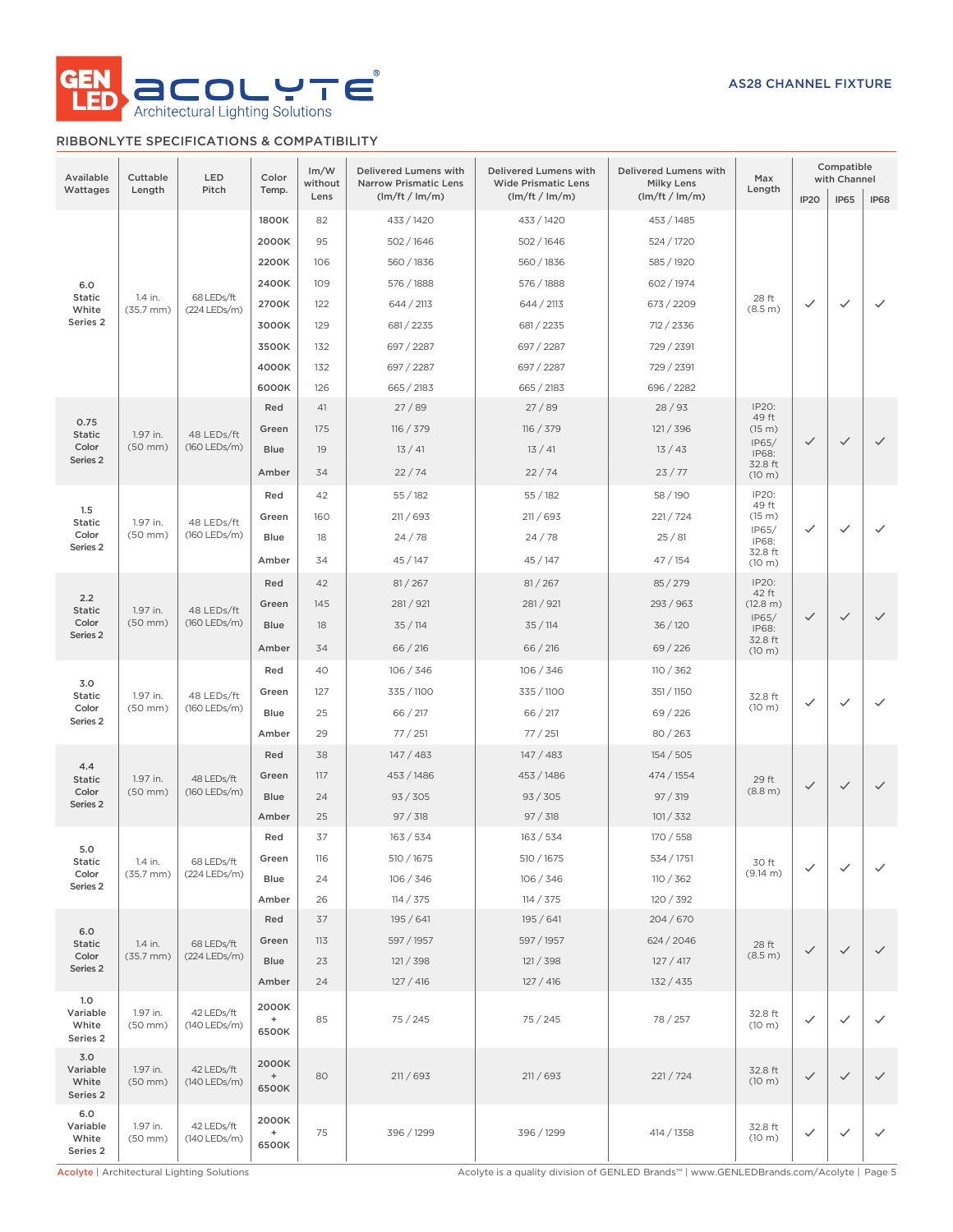

# RIBBONLYTE SPECIFICATIONS & COMPATIBILITY

| Available                                 | Cuttable                 | LED                        | Im/W<br>Delivered Lumens with<br>Color<br>without<br><b>Narrow Prismatic Lens</b> |      |                | Delivered Lumens with<br><b>Wide Prismatic Lens</b> | Delivered Lumens with<br><b>Milky Lens</b> | Max               | Compatible<br>with Channel |                                                   |              |          |         |              |    |              |          |
|-------------------------------------------|--------------------------|----------------------------|-----------------------------------------------------------------------------------|------|----------------|-----------------------------------------------------|--------------------------------------------|-------------------|----------------------------|---------------------------------------------------|--------------|----------|---------|--------------|----|--------------|----------|
| Wattages                                  | Length                   | Pitch                      | Temp.                                                                             | Lens | (lm/ft / lm/m) | (lm/ft / lm/m)                                      | (lm/ft / lm/m)                             | Length            | IP <sub>20</sub>           | <b>IP65</b>                                       | <b>IP68</b>  |          |         |              |    |              |          |
|                                           |                          |                            | 1800K                                                                             | 82   | 433 / 1420     | 433 / 1420                                          | 453 / 1485                                 |                   |                            |                                                   |              |          |         |              |    |              |          |
|                                           |                          |                            | 2000K                                                                             | 95   | 502/1646       | 502/1646                                            | 524 / 1720                                 |                   |                            |                                                   |              |          |         |              |    |              |          |
|                                           |                          |                            | 2200K                                                                             | 106  | 560 / 1836     | 560 / 1836                                          | 585 / 1920                                 |                   |                            |                                                   |              |          |         |              |    |              |          |
| 6.0<br>Static                             | 1.4 in.                  | 68 LEDs/ft                 | 2400K                                                                             | 109  | 576 / 1888     | 576 / 1888                                          | 602 / 1974                                 | 28 ft             |                            |                                                   |              |          |         |              |    |              |          |
| White                                     | $(35.7 \, \text{mm})$    | (224 LEDs/m)               | 2700K                                                                             | 122  | 644 / 2113     | 644 / 2113                                          | 673 / 2209                                 | (8.5 m)           | $\checkmark$               | $\checkmark$                                      | $\checkmark$ |          |         |              |    |              |          |
| Series <sub>2</sub>                       |                          |                            | 3000K                                                                             | 129  | 681 / 2235     | 681 / 2235                                          | 712 / 2336                                 |                   |                            |                                                   |              |          |         |              |    |              |          |
|                                           |                          |                            | 3500K                                                                             | 132  | 697 / 2287     | 697 / 2287                                          | 729 / 2391                                 |                   |                            |                                                   |              |          |         |              |    |              |          |
|                                           |                          |                            | 4000K                                                                             | 132  | 697 / 2287     | 697 / 2287                                          | 729 / 2391                                 |                   |                            | $\checkmark$<br>✓<br>$\checkmark$<br>$\checkmark$ |              |          |         |              |    |              |          |
|                                           |                          |                            | 6000K                                                                             | 126  | 665 / 2183     | 665 / 2183                                          | 696 / 2282                                 |                   |                            |                                                   |              |          |         |              |    |              |          |
| 0.75                                      |                          |                            | Red                                                                               | 41   | 27/89          | 27/89                                               | 28/93                                      | IP20:<br>49 ft    |                            |                                                   |              |          |         |              |    |              |          |
| <b>Static</b>                             | 1.97 in.                 | 48 LEDs/ft                 | Green                                                                             | 175  | 116 / 379      | 116 / 379                                           | 121 / 396                                  | (15 m)<br>IP65/   | $\checkmark$               |                                                   | $\checkmark$ |          |         |              |    |              |          |
| Color<br>Series 2                         | $(50$ mm $)$             | (160 LEDs/m)               | <b>Blue</b>                                                                       | 19   | 13/41          | 13/41                                               | 13/43                                      | IP68:<br>32.8 ft  |                            |                                                   |              |          |         |              |    |              |          |
|                                           |                          |                            | Amber                                                                             | 34   | 22/74          | 22/74                                               | 23/77                                      | (10 m)            |                            |                                                   |              |          |         |              |    |              |          |
| 1.5                                       |                          |                            | Red                                                                               | 42   | 55/182         | 55/182                                              | 58/190                                     | IP20:<br>49 ft    |                            |                                                   |              |          |         |              |    |              |          |
| Static                                    | 1.97 in.                 | 48 LEDs/ft                 | Green                                                                             | 160  | 211/693        | 211 / 693                                           | 221/724                                    | (15 m)<br>IP65/   | ✓                          |                                                   | $\checkmark$ |          |         |              |    |              |          |
| Color<br>Series <sub>2</sub>              | $(50$ mm $)$             | $(160$ LEDs/m)             | Blue                                                                              | 18   | 24/78          | 24/78                                               | 25/81                                      | IP68:<br>32.8 ft  |                            |                                                   |              |          |         |              |    |              |          |
|                                           |                          |                            | Amber                                                                             | 34   | 45/147         | 45/147                                              | 47 / 154                                   | (10 m)            |                            |                                                   |              |          |         |              |    |              |          |
|                                           |                          |                            | Red                                                                               | 42   | 81 / 267       | 81 / 267                                            | 85/279                                     | IP20:<br>42 ft    |                            |                                                   |              |          |         |              |    |              |          |
| 2.2<br><b>Static</b><br>Color<br>Series 2 | 1.97 in.                 | 48 LEDs/ft                 | Green                                                                             | 145  | 281/921        | 281/921                                             | 293/963                                    | (12.8 m)          |                            |                                                   |              |          |         |              |    |              |          |
|                                           | $(50$ mm $)$             | (160 LEDs/m)               | <b>Blue</b>                                                                       | 18   | 35/114         | 35/114                                              | 36/120                                     | IP65/<br>IP68:    | $\checkmark$               |                                                   | $\checkmark$ |          |         |              |    |              |          |
|                                           |                          |                            | Amber                                                                             | 34   | 66 / 216       | 66 / 216                                            | 69/226                                     | 32.8 ft<br>(10 m) |                            |                                                   |              |          |         |              |    |              |          |
|                                           |                          |                            | Red                                                                               | 40   | 106 / 346      | 106 / 346                                           | 110 / 362                                  |                   |                            |                                                   |              |          |         |              |    |              |          |
| 3.0<br>Static                             | 1.97 in.<br>$(50$ mm $)$ | 48 LEDs/ft<br>(160 LEDs/m) |                                                                                   |      |                | Green                                               | 127                                        | 335 / 1100        | 335 / 1100                 | 351 / 1150                                        | 32.8 ft      |          |         |              |    |              |          |
| Color<br>Series <sub>2</sub>              |                          |                            |                                                                                   |      |                |                                                     |                                            |                   |                            |                                                   |              |          |         | <b>Blue</b>  | 25 | 66 / 217     | 66 / 217 |
|                                           |                          |                            | Amber                                                                             | 29   | 77/251         | 77/251                                              | 80/263                                     |                   |                            |                                                   |              |          |         |              |    |              |          |
|                                           |                          |                            | Red                                                                               | 38   | 147/483        | 147/483                                             | 154 / 505                                  |                   |                            |                                                   |              |          |         |              |    |              |          |
| 4.4<br><b>Static</b>                      | 1.97 in.                 | 48 LEDs/ft                 | Green                                                                             | 117  | 453 / 1486     | 453 / 1486                                          | 474 / 1554                                 | 29 ft             |                            |                                                   |              |          |         |              |    |              |          |
| Color<br>Series <sub>2</sub>              | $(50$ mm $)$             | (160 LEDs/m)               |                                                                                   |      |                |                                                     |                                            | <b>Blue</b>       | 24                         | 93 / 305                                          | 93 / 305     | 97 / 319 | (8.8 m) | $\checkmark$ |    | $\checkmark$ |          |
|                                           |                          |                            | Amber                                                                             | 25   | 97 / 318       | 97 / 318                                            | 101 / 332                                  |                   |                            | $\checkmark$                                      |              |          |         |              |    |              |          |
| 5.0                                       |                          |                            | Red                                                                               | 37   | 163 / 534      | 163 / 534                                           | 170 / 558                                  |                   |                            |                                                   |              |          |         |              |    |              |          |
| Static                                    | 1.4 in.                  | 68 LEDs/ft                 | Green                                                                             | 116  | 510 / 1675     | 510 / 1675                                          | 534 / 1751                                 | 30 ft             | ✓                          | $\checkmark$                                      | $\checkmark$ |          |         |              |    |              |          |
| Color<br>Series <sub>2</sub>              | $(35.7 \, \text{mm})$    | (224 LEDs/m)               | Blue                                                                              | 24   | 106 / 346      | 106 / 346                                           | 110 / 362                                  | (9.14 m)          |                            |                                                   |              |          |         |              |    |              |          |
|                                           |                          |                            | Amber                                                                             | 26   | 114 / 375      | 114 / 375                                           | 120 / 392                                  |                   |                            |                                                   |              |          |         |              |    |              |          |
| 6.0                                       |                          |                            | Red                                                                               | 37   | 195 / 641      | 195/641                                             | 204 / 670                                  |                   |                            |                                                   |              |          |         |              |    |              |          |
| <b>Static</b>                             | 1.4 in.                  | 68 LEDs/ft                 | Green                                                                             | 113  | 597 / 1957     | 597 / 1957                                          | 624 / 2046                                 | 28 ft             | $\checkmark$               | $\checkmark$                                      | $\checkmark$ |          |         |              |    |              |          |
| Color<br>Series 2                         | $(35.7$ mm $)$           | (224 LEDs/m)               | <b>Blue</b>                                                                       | 23   | 121 / 398      | 121 / 398                                           | 127 / 417                                  | (8.5 m)           |                            |                                                   |              |          |         |              |    |              |          |
|                                           |                          |                            | Amber                                                                             | 24   | 127/416        | 127/416                                             | 132 / 435                                  |                   |                            |                                                   |              |          |         |              |    |              |          |
| 1.0<br>Variable<br>White<br>Series 2      | 1.97 in.<br>$(50$ mm $)$ | 42 LEDs/ft<br>(140 LEDs/m) | 2000K<br>$\begin{array}{c} + \end{array}$<br>6500K                                | 85   | 75 / 245       | 75/245                                              | 78 / 257                                   | 32.8 ft<br>(10 m) | $\checkmark$               | $\checkmark$                                      | $\checkmark$ |          |         |              |    |              |          |
| 3.0<br>Variable<br>White<br>Series 2      | 1.97 in.<br>$(50$ mm $)$ | 42 LEDs/ft<br>(140 LEDs/m) | 2000K<br>$^{\mathrm{+}}$<br>6500K                                                 | 80   | 211/693        | 211/693                                             | 221/724                                    | 32.8 ft<br>(10 m) | $\checkmark$               | $\checkmark$                                      | $\checkmark$ |          |         |              |    |              |          |
| 6.0<br>Variable<br>White<br>Series 2      | 1.97 in.<br>(50 mm)      | 42 LEDs/ft<br>(140 LEDs/m) | 2000K<br>$^{\mathrm{+}}$<br>6500K                                                 | 75   | 396 / 1299     | 396 / 1299                                          | 414 / 1358                                 | 32.8 ft<br>(10 m) | $\checkmark$               | $\checkmark$                                      | $\checkmark$ |          |         |              |    |              |          |

Acolyte | Architectural Lighting Solutions **Acolyte is a quality division of GENLED Brands™** | www.GENLEDBrands.com/Acolyte | Page 5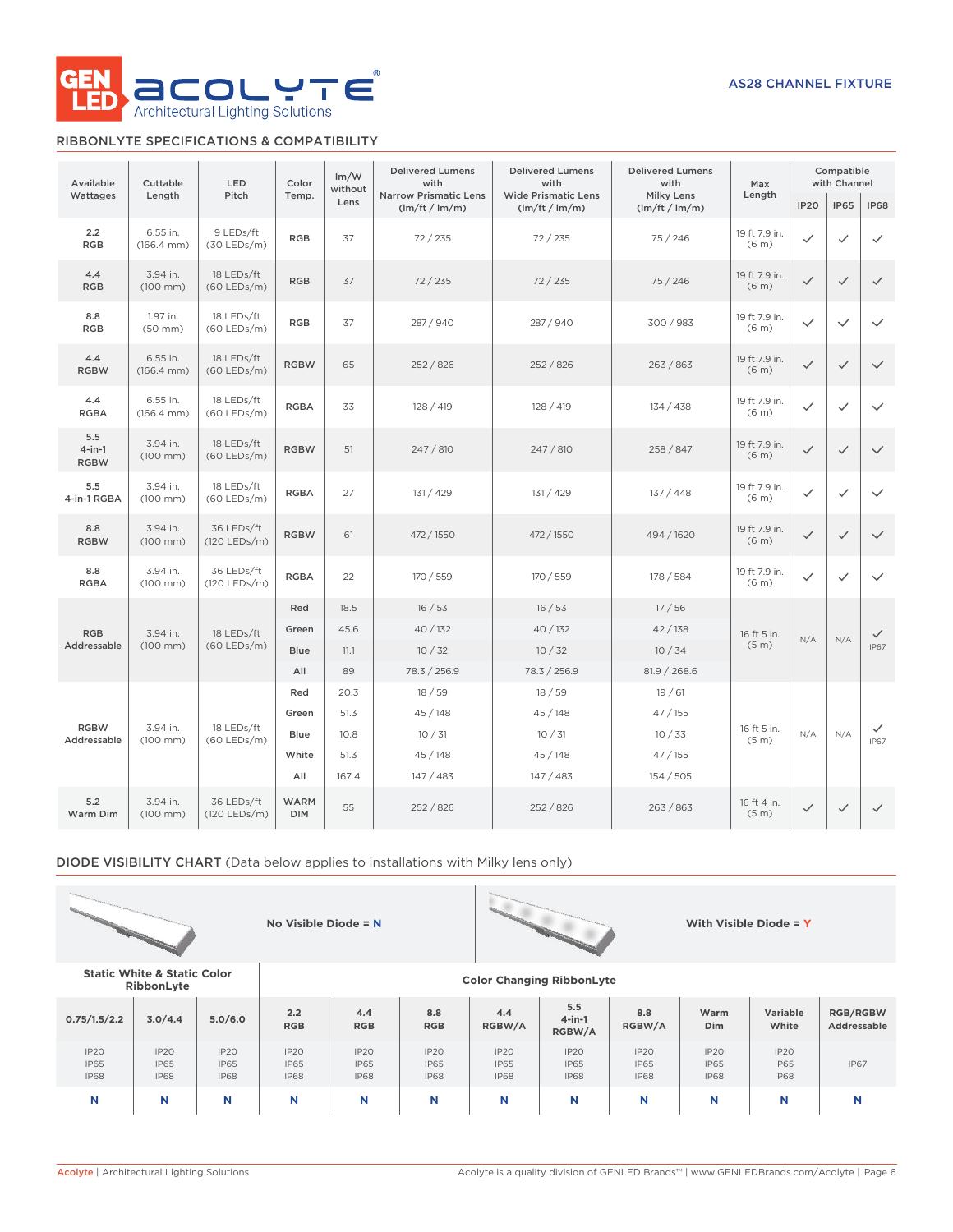

# RIBBONLYTE SPECIFICATIONS & COMPATIBILITY

| Available                       | Cuttable                           | LED                         | Color                     | Im/W<br>without | <b>Delivered Lumens</b><br>with                | <b>Delivered Lumens</b><br>with              | <b>Delivered Lumens</b><br>with     | Max                                |                  | Compatible<br>with Channel |                  |
|---------------------------------|------------------------------------|-----------------------------|---------------------------|-----------------|------------------------------------------------|----------------------------------------------|-------------------------------------|------------------------------------|------------------|----------------------------|------------------|
| Wattages                        | Length                             | Pitch                       | Temp.                     | Lens            | <b>Narrow Prismatic Lens</b><br>(lm/ft / lm/m) | <b>Wide Prismatic Lens</b><br>(lm/ft / lm/m) | <b>Milky Lens</b><br>(lm/ft / lm/m) | Length                             | IP <sub>20</sub> | <b>IP65</b>                | <b>IP68</b>      |
| 2.2<br><b>RGB</b>               | 6.55 in.<br>$(166.4 \, \text{mm})$ | 9 LEDs/ft<br>$(30$ LEDs/m)  | <b>RGB</b>                | 37              | 72/235                                         | 72/235                                       | 75 / 246                            | 19 ft 7.9 in.<br>(6 <sub>m</sub> ) | ✓                | $\checkmark$               | ✓                |
| 4.4<br><b>RGB</b>               | 3.94 in.<br>$(100$ mm $)$          | 18 LEDs/ft<br>(60 LEDs/m)   | <b>RGB</b>                | 37              | 72/235                                         | 72/235                                       | 75/246                              | 19 ft 7.9 in.<br>(6 <sub>m</sub> ) | $\checkmark$     | $\checkmark$               | $\checkmark$     |
| 8.8<br><b>RGB</b>               | 1.97 in.<br>$(50$ mm $)$           | 18 LEDs/ft<br>$(60$ LEDs/m) | <b>RGB</b>                | 37              | 287 / 940                                      | 287 / 940                                    | 300 / 983                           | 19 ft 7.9 in.<br>(6 <sub>m</sub> ) | $\checkmark$     | $\checkmark$               | $\checkmark$     |
| 4.4<br><b>RGBW</b>              | 6.55 in.<br>$(166.4 \, \text{mm})$ | 18 LEDs/ft<br>$(60$ LEDs/m) | <b>RGBW</b>               | 65              | 252 / 826                                      | 252/826                                      | 263 / 863                           | 19 ft 7.9 in.<br>(6 <sub>m</sub> ) | $\checkmark$     | $\checkmark$               | $\checkmark$     |
| 4.4<br><b>RGBA</b>              | 6.55 in.<br>$(166.4 \, \text{mm})$ | 18 LEDs/ft<br>$(60$ LEDs/m) | <b>RGBA</b>               | 33              | 128 / 419                                      | 128 / 419                                    | 134 / 438                           | 19 ft 7.9 in.<br>(6 <sub>m</sub> ) | ✓                | $\checkmark$               | $\checkmark$     |
| 5.5<br>$4$ -in-1<br><b>RGBW</b> | 3.94 in.<br>$(100$ mm $)$          | 18 LEDs/ft<br>$(60$ LEDs/m) | <b>RGBW</b>               | 51              | 247 / 810                                      | 247 / 810                                    | 258 / 847                           | 19 ft 7.9 in.<br>(6 <sub>m</sub> ) | $\checkmark$     | $\checkmark$               | $\checkmark$     |
| 5.5<br>4-in-1 RGBA              | 3.94 in.<br>$(100 \, \text{mm})$   | 18 LEDs/ft<br>(60 LEDs/m)   | <b>RGBA</b>               | 27              | 131 / 429                                      | 131 / 429                                    | 137 / 448                           | 19 ft 7.9 in.<br>(6 <sub>m</sub> ) | $\checkmark$     | $\checkmark$               | $\checkmark$     |
| 8.8<br><b>RGBW</b>              | 3.94 in.<br>$(100$ mm $)$          | 36 LEDs/ft<br>(120 LEDs/m)  | <b>RGBW</b>               | 61              | 472 / 1550                                     | 472 / 1550                                   | 494 / 1620                          | 19 ft 7.9 in.<br>(6 <sub>m</sub> ) | $\checkmark$     | $\checkmark$               | $\checkmark$     |
| 8.8<br><b>RGBA</b>              | 3.94 in.<br>$(100$ mm $)$          | 36 LEDs/ft<br>(120 LEDs/m)  | <b>RGBA</b>               | 22              | 170 / 559                                      | 170 / 559                                    | 178 / 584                           | 19 ft 7.9 in.<br>(6 <sub>m</sub> ) | $\checkmark$     | $\checkmark$               | $\checkmark$     |
|                                 |                                    |                             | Red                       | 18.5            | 16/53                                          | 16/53                                        | 17/56                               |                                    |                  |                            |                  |
| <b>RGB</b>                      | 3.94 in.                           | 18 LEDs/ft                  | Green                     | 45.6            | 40 / 132                                       | 40 / 132                                     | 42/138                              | 16 ft 5 in.<br>(5 <sub>m</sub> )   | N/A              | N/A                        | $\checkmark$     |
| Addressable                     | $(100$ mm)                         | $(60$ LEDs/m)               | <b>Blue</b>               | 11.1            | 10/32                                          | 10/32                                        | 10/34                               |                                    |                  |                            | <b>IP67</b>      |
|                                 |                                    |                             | All                       | 89              | 78.3 / 256.9                                   | 78.3 / 256.9                                 | 81.9 / 268.6                        |                                    |                  |                            |                  |
|                                 |                                    |                             | Red<br>Green              | 20.3<br>51.3    | 18/59<br>45/148                                | 18/59<br>45/148                              | 19/61<br>47/155                     |                                    |                  |                            |                  |
| <b>RGBW</b>                     | 3.94 in.                           | 18 LEDs/ft                  | <b>Blue</b>               | 10.8            | 10/31                                          | 10/31                                        | 10/33                               | 16 ft 5 in.                        | N/A              | N/A                        | ✓<br><b>IP67</b> |
| Addressable                     | $(100$ mm $)$                      | $(60$ LEDs/m)               | White                     | 51.3            | 45/148                                         | 45/148                                       | 47/155                              | (5 <sub>m</sub> )                  |                  |                            |                  |
|                                 |                                    |                             | All                       | 167.4           | 147/483                                        | 147/483                                      | 154/505                             |                                    |                  |                            |                  |
| 5.2<br>Warm Dim                 | 3.94 in.<br>(100 mm)               | 36 LEDs/ft<br>(120 LEDs/m)  | <b>WARM</b><br><b>DIM</b> | 55              | 252 / 826                                      | 252/826                                      | 263/863                             | 16 ft 4 in.<br>(5 <sub>m</sub> )   | $\checkmark$     | $\checkmark$               | $\checkmark$     |

DIODE VISIBILITY CHART (Data below applies to installations with Milky lens only)





**RibbonLyte Color Changing RibbonLyte**

**No Visible Diode = N With Visible Diode = Y**

**Static White & Static Color**

| 0.75/1.5/2.2                       | 3.0/4.4                            | 5.0/6.0                                        | 2.2<br><b>RGB</b>                         | 4.4<br><b>RGB</b>                  | 8.8<br><b>RGB</b>                  | 4.4<br>RGBW/A                      | 5.5<br>$4$ -in-1<br>RGBW/A                     | 8.8<br>RGBW/A                      | Warm<br>Dim                        | Variable<br>White                  | <b>RGB/RGBW</b><br>Addressable |
|------------------------------------|------------------------------------|------------------------------------------------|-------------------------------------------|------------------------------------|------------------------------------|------------------------------------|------------------------------------------------|------------------------------------|------------------------------------|------------------------------------|--------------------------------|
| IP2O<br><b>IP65</b><br><b>IP68</b> | IP20<br><b>IP65</b><br><b>IP68</b> | IP <sub>20</sub><br><b>IP65</b><br><b>IP68</b> | <b>IP20</b><br><b>IP65</b><br><b>IP68</b> | IP2O<br><b>IP65</b><br><b>IP68</b> | IP2O<br><b>IP65</b><br><b>IP68</b> | IP2O<br><b>IP65</b><br><b>IP68</b> | IP <sub>20</sub><br><b>IP65</b><br><b>IP68</b> | IP2O<br><b>IP65</b><br><b>IP68</b> | IP2O<br><b>IP65</b><br><b>IP68</b> | IP2O<br><b>IP65</b><br><b>IP68</b> | <b>IP67</b>                    |
| N                                  | N                                  |                                                | N                                         | N                                  | N                                  | N                                  | N                                              | N                                  | N                                  |                                    | N                              |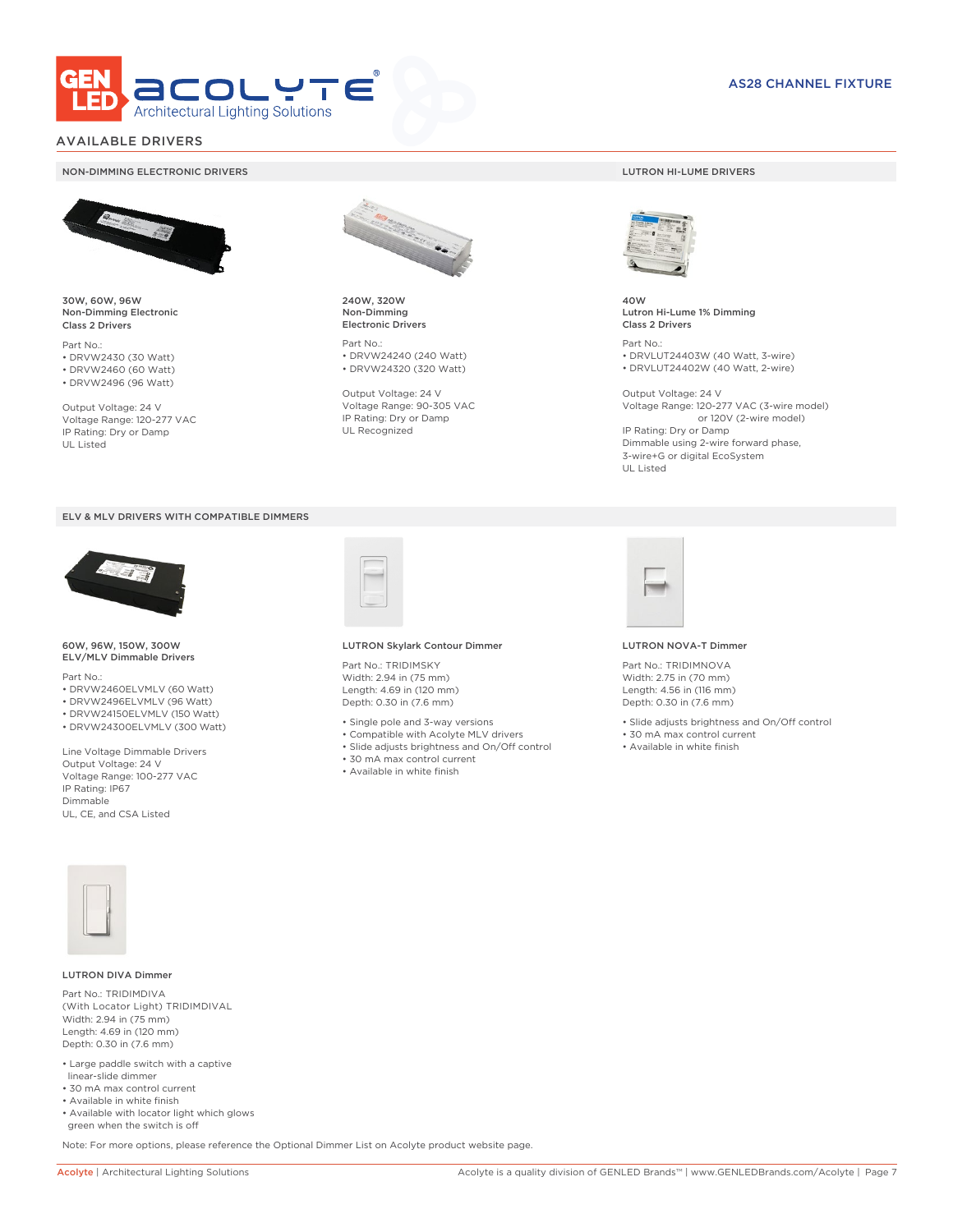

# AVAILABLE DRIVERS

### NON-DIMMING ELECTRONIC DRIVERS LUTRON HI-LUME DRIVERS



30W, 60W, 96W Non-Dimming Electronic Class 2 Drivers

Part No.: • DRVW2430 (30 Watt) • DRVW2460 (60 Watt)

• DRVW2496 (96 Watt)

Output Voltage: 24 V Voltage Range: 120-277 VAC IP Rating: Dry or Damp UL Listed





60W, 96W, 150W, 300W ELV/MLV Dimmable Drivers

Part No.:

- DRVW2460ELVMLV (60 Watt)
- DRVW2496ELVMLV (96 Watt)
- DRVW24150ELVMLV (150 Watt)
- DRVW24300ELVMLV (300 Watt)

Line Voltage Dimmable Drivers Output Voltage: 24 V Voltage Range: 100-277 VAC IP Rating: IP67 Dimmable UL, CE, and CSA Listed



240W, 320W Non-Dimming Electronic Drivers

Part No.: • DRVW24240 (240 Watt) • DRVW24320 (320 Watt)

Output Voltage: 24 V Voltage Range: 90-305 VAC IP Rating: Dry or Damp UL Recognized



40W Lutron Hi-Lume 1% Dimming Class 2 Drivers

Part No.: • DRVLUT24403W (40 Watt, 3-wire) • DRVLUT24402W (40 Watt, 2-wire)

Output Voltage: 24 V Voltage Range: 120-277 VAC (3-wire model) or 120V (2-wire model) IP Rating: Dry or Damp Dimmable using 2-wire forward phase, 3-wire+G or digital EcoSystem UL Listed



### LUTRON Skylark Contour Dimmer

Part No.: TRIDIMSKY Width: 2.94 in (75 mm) Length: 4.69 in (120 mm) Depth: 0.30 in (7.6 mm)

- Single pole and 3-way versions
- Compatible with Acolyte MLV drivers
- Slide adjusts brightness and On/Off control
- 30 mA max control current
- Available in white finish



### LUTRON NOVA-T Dimmer

Part No.: TRIDIMNOVA Width: 2.75 in (70 mm) Length: 4.56 in (116 mm) Depth: 0.30 in (7.6 mm)

- Slide adjusts brightness and On/Off control
- 30 mA max control current
- Available in white finish



### LUTRON DIVA Dimmer

Part No.: TRIDIMDIVA (With Locator Light) TRIDIMDIVAL Width: 2.94 in (75 mm) Length: 4.69 in (120 mm) Depth: 0.30 in (7.6 mm)

- Large paddle switch with a captive linear-slide dimmer
- 30 mA max control current
- Available in white finish
- Available with locator light which glows green when the switch is off

Note: For more options, please reference the Optional Dimmer List on Acolyte product website page.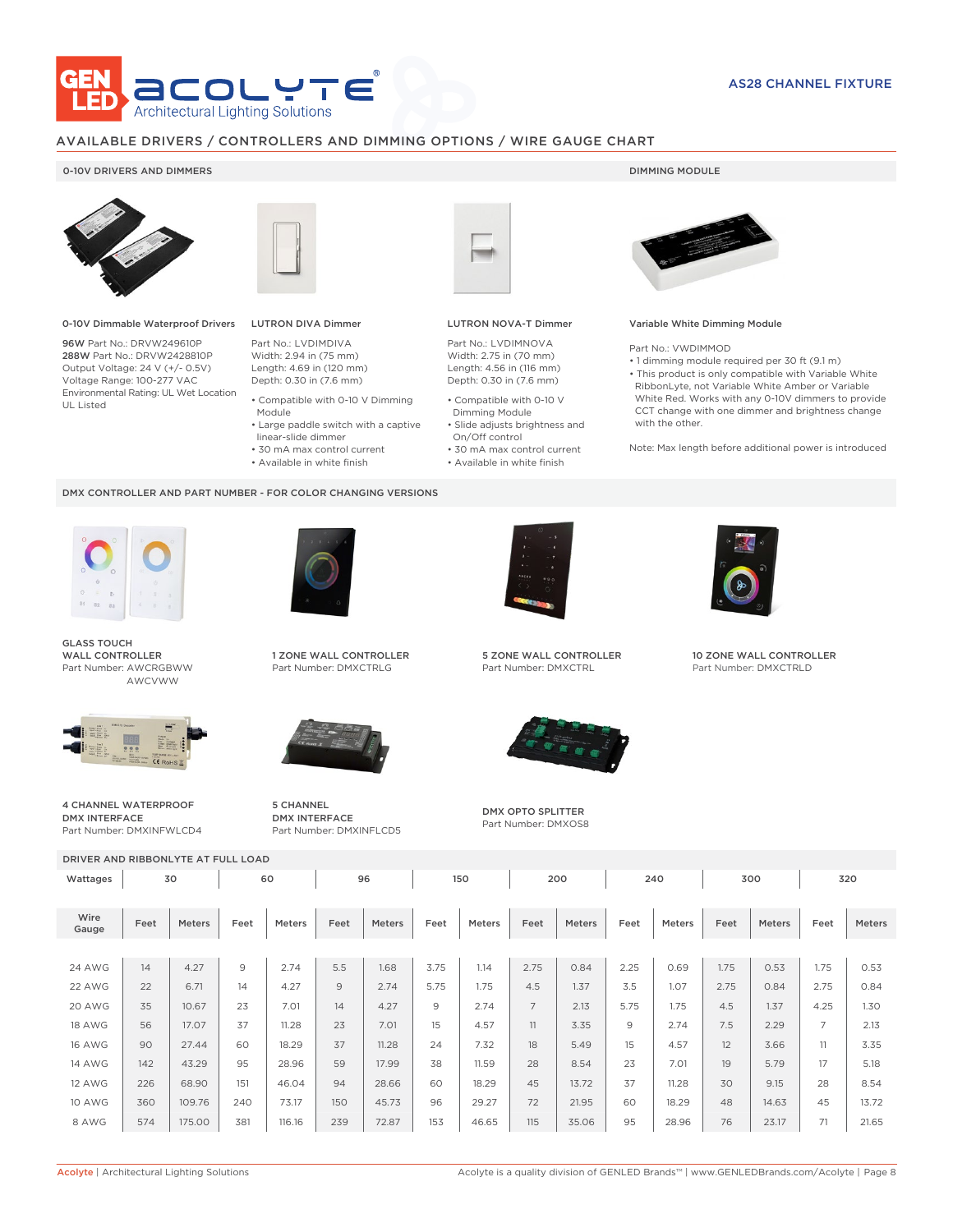

## AVAILABLE DRIVERS / CONTROLLERS AND DIMMING OPTIONS / WIRE GAUGE CHART

## 0-10V DRIVERS AND DIMMERS **DIMMING MODULE**



0-10V Dimmable Waterproof Drivers

96W Part No.: DRVW249610P 288W Part No.: DRVW2428810P Output Voltage: 24 V (+/- 0.5V) Voltage Range: 100-277 VAC Environmental Rating: UL Wet Location UL Listed



# LUTRON DIVA Dimmer

Module

DMX CONTROLLER AND PART NUMBER - FOR COLOR CHANGING VERSIONS

Part No.: LVDIMDIVA Width: 2.94 in (75 mm) Length: 4.69 in (120 mm) Depth: 0.30 in (7.6 mm) • Compatible with 0-10 V Dimming

 linear-slide dimmer • 30 mA max control current • Available in white finish

• Large paddle switch with a captive

LUTRON NOVA-T Dimmer

Part No.: LVDIMNOVA Width: 2.75 in (70 mm) Length: 4.56 in (116 mm) Depth: 0.30 in (7.6 mm)

- Compatible with 0-10 V Dimming Module
- Slide adjusts brightness and On/Off control
- 30 mA max control current • Available in white finish



Variable White Dimming Module

Part No.: VWDIMMOD

- 1 dimming module required per 30 ft (9.1 m)
- This product is only compatible with Variable White RibbonLyte, not Variable White Amber or Variable White Red. Works with any 0-10V dimmers to provide CCT change with one dimmer and brightness change with the other.

Note: Max length before additional power is introduced



GLASS TOUCH WALL CONTROLLER Part Number: AWCRGBWW AWCVWW



4 CHANNEL WATERPROOF DMX INTERFACE Part Number: DMXINFWLCD4



1 ZONE WALL CONTROLLER Part Number: DMXCTRLG



5 CHANNEL DMX INTERFACE Part Number: DMXINFLCD5



5 ZONE WALL CONTROLLER Part Number: DMXCTRL



DMX OPTO SPLITTER Part Number: DMXOS8



10 ZONE WALL CONTROLLER Part Number: DMXCTRLD

| DRIVER AND RIBBONLYTE AT FULL LOAD |          |               |      |        |      |        |      |        |                |        |      |        |      |        |                |        |
|------------------------------------|----------|---------------|------|--------|------|--------|------|--------|----------------|--------|------|--------|------|--------|----------------|--------|
| Wattages                           | 60<br>30 |               |      | 96     |      | 150    |      | 200    |                | 240    |      | 300    |      | 320    |                |        |
| Wire<br>Gauge                      | Feet     | <b>Meters</b> | Feet | Meters | Feet | Meters | Feet | Meters | Feet           | Meters | Feet | Meters | Feet | Meters | Feet           | Meters |
|                                    |          |               |      |        |      |        |      |        |                |        |      |        |      |        |                |        |
| <b>24 AWG</b>                      | 14       | 4.27          | 9    | 2.74   | 5.5  | 1.68   | 3.75 | 1.14   | 2.75           | 0.84   | 2.25 | 0.69   | 1.75 | 0.53   | 1.75           | 0.53   |
| 22 AWG                             | 22       | 6.71          | 14   | 4.27   | 9    | 2.74   | 5.75 | 1.75   | 4.5            | 1.37   | 3.5  | 1.07   | 2.75 | 0.84   | 2.75           | 0.84   |
| 20 AWG                             | 35       | 10.67         | 23   | 7.01   | 14   | 4.27   | 9    | 2.74   | $\overline{7}$ | 2.13   | 5.75 | 1.75   | 4.5  | 1.37   | 4.25           | 1.30   |
| <b>18 AWG</b>                      | 56       | 17.07         | 37   | 11.28  | 23   | 7.01   | 15   | 4.57   | 11             | 3.35   | 9    | 2.74   | 7.5  | 2.29   | $\overline{7}$ | 2.13   |
| <b>16 AWG</b>                      | 90       | 27.44         | 60   | 18.29  | 37   | 11.28  | 24   | 7.32   | 18             | 5.49   | 15   | 4.57   | 12   | 3.66   | 11             | 3.35   |
| <b>14 AWG</b>                      | 142      | 43.29         | 95   | 28.96  | 59   | 17.99  | 38   | 11.59  | 28             | 8.54   | 23   | 7.01   | 19   | 5.79   | 17             | 5.18   |
| <b>12 AWG</b>                      | 226      | 68.90         | 151  | 46.04  | 94   | 28.66  | 60   | 18.29  | 45             | 13.72  | 37   | 11.28  | 30   | 9.15   | 28             | 8.54   |
| <b>10 AWG</b>                      | 360      | 109.76        | 240  | 73.17  | 150  | 45.73  | 96   | 29.27  | 72             | 21.95  | 60   | 18.29  | 48   | 14.63  | 45             | 13.72  |
| 8 AWG                              | 574      | 175.00        | 381  | 116.16 | 239  | 72.87  | 153  | 46.65  | 115            | 35.06  | 95   | 28.96  | 76   | 23.17  | 71             | 21.65  |